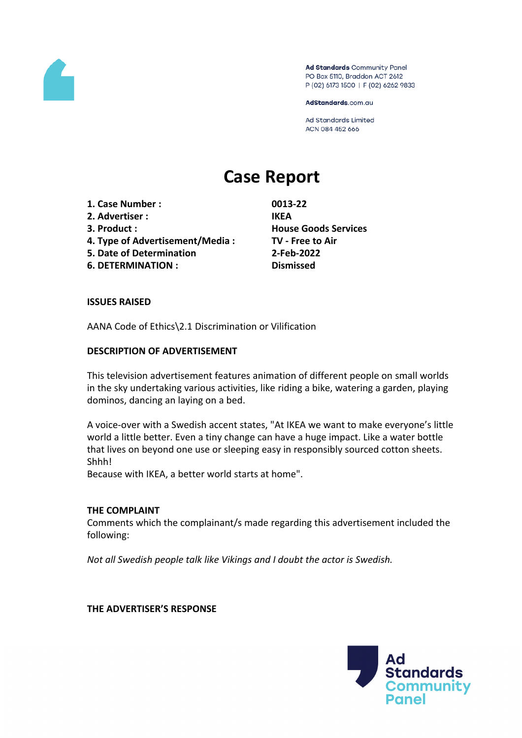

Ad Standards Community Panel PO Box 5110, Braddon ACT 2612 P (02) 6173 1500 | F (02) 6262 9833

AdStandards.com.au

**Ad Standards Limited** ACN 084 452 666

# **Case Report**

- **1. Case Number : 0013-22**
- **2. Advertiser : IKEA**
- 
- **4. Type of Advertisement/Media : TV - Free to Air**
- **5. Date of Determination 2-Feb-2022**
- **6. DETERMINATION : Dismissed**

**3. Product : House Goods Services**

#### **ISSUES RAISED**

AANA Code of Ethics\2.1 Discrimination or Vilification

#### **DESCRIPTION OF ADVERTISEMENT**

This television advertisement features animation of different people on small worlds in the sky undertaking various activities, like riding a bike, watering a garden, playing dominos, dancing an laying on a bed.

A voice-over with a Swedish accent states, "At IKEA we want to make everyone's little world a little better. Even a tiny change can have a huge impact. Like a water bottle that lives on beyond one use or sleeping easy in responsibly sourced cotton sheets. Shhh!

Because with IKEA, a better world starts at home".

#### **THE COMPLAINT**

Comments which the complainant/s made regarding this advertisement included the following:

*Not all Swedish people talk like Vikings and I doubt the actor is Swedish.*

**THE ADVERTISER'S RESPONSE**

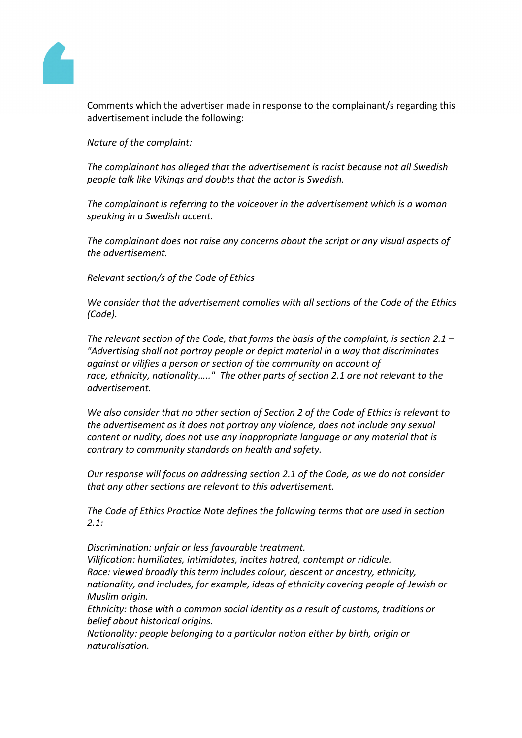

Comments which the advertiser made in response to the complainant/s regarding this advertisement include the following:

*Nature of the complaint:*

*The complainant has alleged that the advertisement is racist because not all Swedish people talk like Vikings and doubts that the actor is Swedish.*

*The complainant is referring to the voiceover in the advertisement which is a woman speaking in a Swedish accent.*

*The complainant does not raise any concerns about the script or any visual aspects of the advertisement.*

*Relevant section/s of the Code of Ethics*

*We consider that the advertisement complies with all sections of the Code of the Ethics (Code).*

*The relevant section of the Code, that forms the basis of the complaint, is section 2.1 – "Advertising shall not portray people or depict material in a way that discriminates against or vilifies a person or section of the community on account of race, ethnicity, nationality….." The other parts of section 2.1 are not relevant to the advertisement.* 

*We also consider that no other section of Section 2 of the Code of Ethics is relevant to the advertisement as it does not portray any violence, does not include any sexual content or nudity, does not use any inappropriate language or any material that is contrary to community standards on health and safety.*

*Our response will focus on addressing section 2.1 of the Code, as we do not consider that any other sections are relevant to this advertisement.*

*The Code of Ethics Practice Note defines the following terms that are used in section 2.1:*

*Discrimination: unfair or less favourable treatment. Vilification: humiliates, intimidates, incites hatred, contempt or ridicule. Race: viewed broadly this term includes colour, descent or ancestry, ethnicity, nationality, and includes, for example, ideas of ethnicity covering people of Jewish or Muslim origin.*

*Ethnicity: those with a common social identity as a result of customs, traditions or belief about historical origins.*

*Nationality: people belonging to a particular nation either by birth, origin or naturalisation.*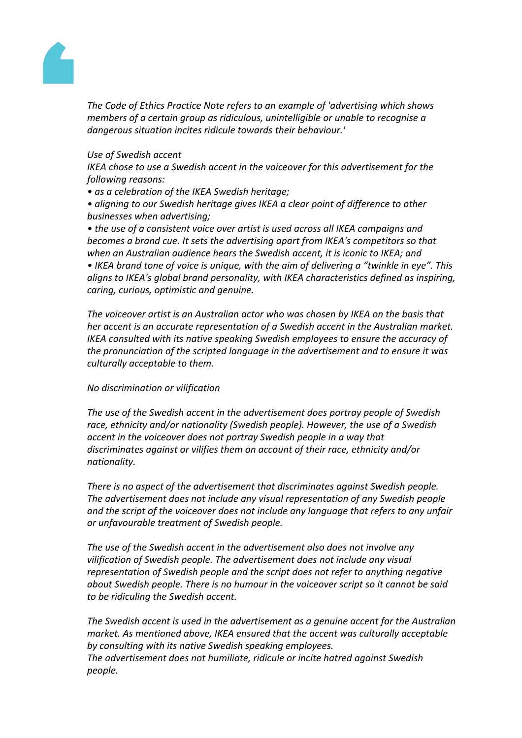

*The Code of Ethics Practice Note refers to an example of 'advertising which shows members of a certain group as ridiculous, unintelligible or unable to recognise a dangerous situation incites ridicule towards their behaviour.'*

## *Use of Swedish accent*

*IKEA chose to use a Swedish accent in the voiceover for this advertisement for the following reasons:*

*• as a celebration of the IKEA Swedish heritage;*

*• aligning to our Swedish heritage gives IKEA a clear point of difference to other businesses when advertising;*

*• the use of a consistent voice over artist is used across all IKEA campaigns and becomes a brand cue. It sets the advertising apart from IKEA's competitors so that when an Australian audience hears the Swedish accent, it is iconic to IKEA; and • IKEA brand tone of voice is unique, with the aim of delivering a "twinkle in eye". This aligns to IKEA's global brand personality, with IKEA characteristics defined as inspiring, caring, curious, optimistic and genuine.*

*The voiceover artist is an Australian actor who was chosen by IKEA on the basis that her accent is an accurate representation of a Swedish accent in the Australian market. IKEA consulted with its native speaking Swedish employees to ensure the accuracy of the pronunciation of the scripted language in the advertisement and to ensure it was culturally acceptable to them.*

## *No discrimination or vilification*

*The use of the Swedish accent in the advertisement does portray people of Swedish race, ethnicity and/or nationality (Swedish people). However, the use of a Swedish accent in the voiceover does not portray Swedish people in a way that discriminates against or vilifies them on account of their race, ethnicity and/or nationality.*

*There is no aspect of the advertisement that discriminates against Swedish people. The advertisement does not include any visual representation of any Swedish people and the script of the voiceover does not include any language that refers to any unfair or unfavourable treatment of Swedish people.*

*The use of the Swedish accent in the advertisement also does not involve any vilification of Swedish people. The advertisement does not include any visual representation of Swedish people and the script does not refer to anything negative about Swedish people. There is no humour in the voiceover script so it cannot be said to be ridiculing the Swedish accent.*

*The Swedish accent is used in the advertisement as a genuine accent for the Australian market. As mentioned above, IKEA ensured that the accent was culturally acceptable by consulting with its native Swedish speaking employees. The advertisement does not humiliate, ridicule or incite hatred against Swedish people.*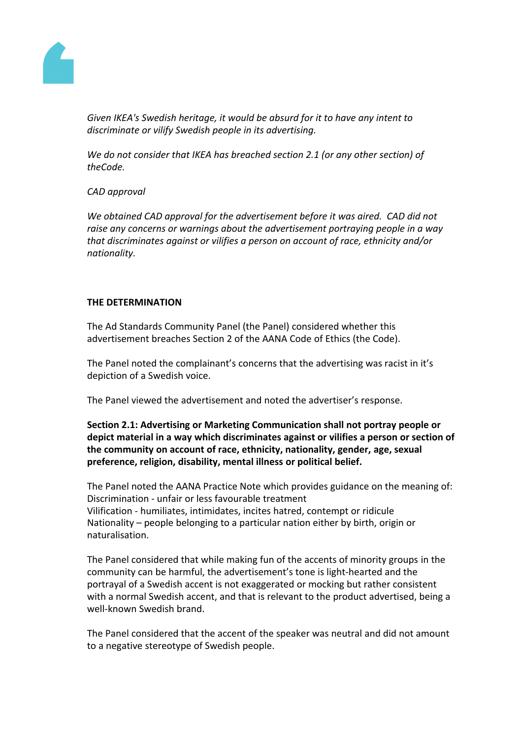

*Given IKEA's Swedish heritage, it would be absurd for it to have any intent to discriminate or vilify Swedish people in its advertising.*

*We do not consider that IKEA has breached section 2.1 (or any other section) of theCode.*

## *CAD approval*

*We obtained CAD approval for the advertisement before it was aired. CAD did not raise any concerns or warnings about the advertisement portraying people in a way that discriminates against or vilifies a person on account of race, ethnicity and/or nationality.*

## **THE DETERMINATION**

The Ad Standards Community Panel (the Panel) considered whether this advertisement breaches Section 2 of the AANA Code of Ethics (the Code).

The Panel noted the complainant's concerns that the advertising was racist in it's depiction of a Swedish voice.

The Panel viewed the advertisement and noted the advertiser's response.

**Section 2.1: Advertising or Marketing Communication shall not portray people or depict material in a way which discriminates against or vilifies a person or section of the community on account of race, ethnicity, nationality, gender, age, sexual preference, religion, disability, mental illness or political belief.**

The Panel noted the AANA Practice Note which provides guidance on the meaning of: Discrimination - unfair or less favourable treatment Vilification - humiliates, intimidates, incites hatred, contempt or ridicule Nationality – people belonging to a particular nation either by birth, origin or naturalisation.

The Panel considered that while making fun of the accents of minority groups in the community can be harmful, the advertisement's tone is light-hearted and the portrayal of a Swedish accent is not exaggerated or mocking but rather consistent with a normal Swedish accent, and that is relevant to the product advertised, being a well-known Swedish brand.

The Panel considered that the accent of the speaker was neutral and did not amount to a negative stereotype of Swedish people.